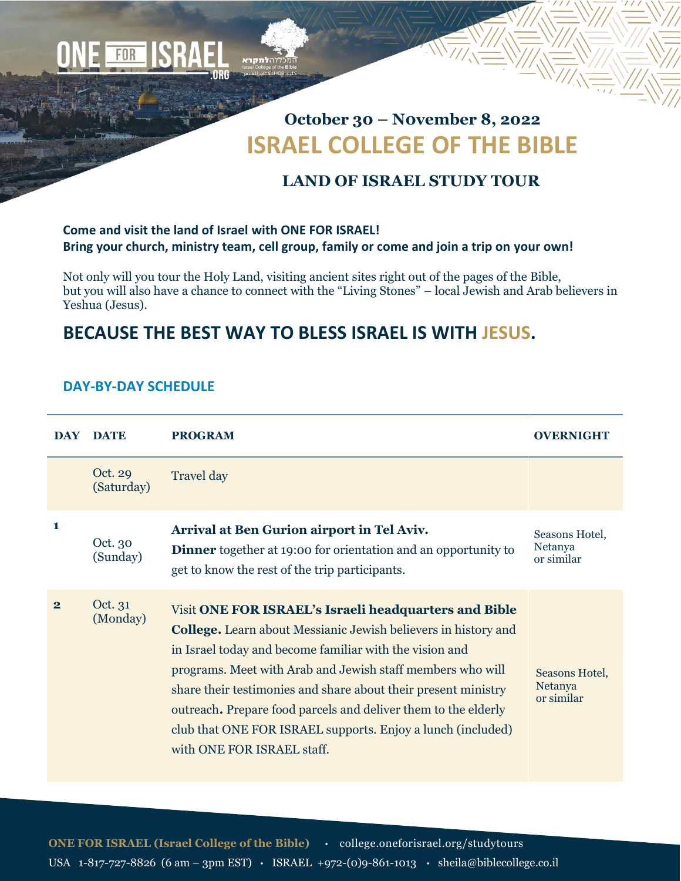

# **October 30 – N0vember 8, 2022 ISRAEL COLLEGE OF THE BIBLE**

## **LAND OF ISRAEL STUDY TOUR**

#### **Come and visit the land of Israel with ONE FOR ISRAEL! Bring your church, ministry team, cell group, family or come and join a trip on your own!**

Not only will you tour the Holy Land, visiting ancient sites right out of the pages of the Bible, but you will also have a chance to connect with the "Living Stones" – local Jewish and Arab believers in Yeshua (Jesus).

## **BECAUSE THE BEST WAY TO BLESS ISRAEL IS WITH JESUS.**

#### **DAY-BY-DAY SCHEDULE**

FOR

| DAY          | <b>DATE</b>           | <b>PROGRAM</b>                                                                                                                                                                                                                                                                                                                                                                                                                                                                                  | OVERNIGHT                               |
|--------------|-----------------------|-------------------------------------------------------------------------------------------------------------------------------------------------------------------------------------------------------------------------------------------------------------------------------------------------------------------------------------------------------------------------------------------------------------------------------------------------------------------------------------------------|-----------------------------------------|
|              | Oct. 29<br>(Saturday) | <b>Travel day</b>                                                                                                                                                                                                                                                                                                                                                                                                                                                                               |                                         |
| 1            | Oct. 30<br>(Sunday)   | Arrival at Ben Gurion airport in Tel Aviv.<br><b>Dinner</b> together at 19:00 for orientation and an opportunity to<br>get to know the rest of the trip participants.                                                                                                                                                                                                                                                                                                                           | Seasons Hotel,<br>Netanya<br>or similar |
| $\mathbf{2}$ | Oct. 31<br>(Monday)   | <b>Visit ONE FOR ISRAEL's Israeli headquarters and Bible</b><br><b>College.</b> Learn about Messianic Jewish believers in history and<br>in Israel today and become familiar with the vision and<br>programs. Meet with Arab and Jewish staff members who will<br>share their testimonies and share about their present ministry<br>outreach. Prepare food parcels and deliver them to the elderly<br>club that ONE FOR ISRAEL supports. Enjoy a lunch (included)<br>with ONE FOR ISRAEL staff. | Seasons Hotel,<br>Netanya<br>or similar |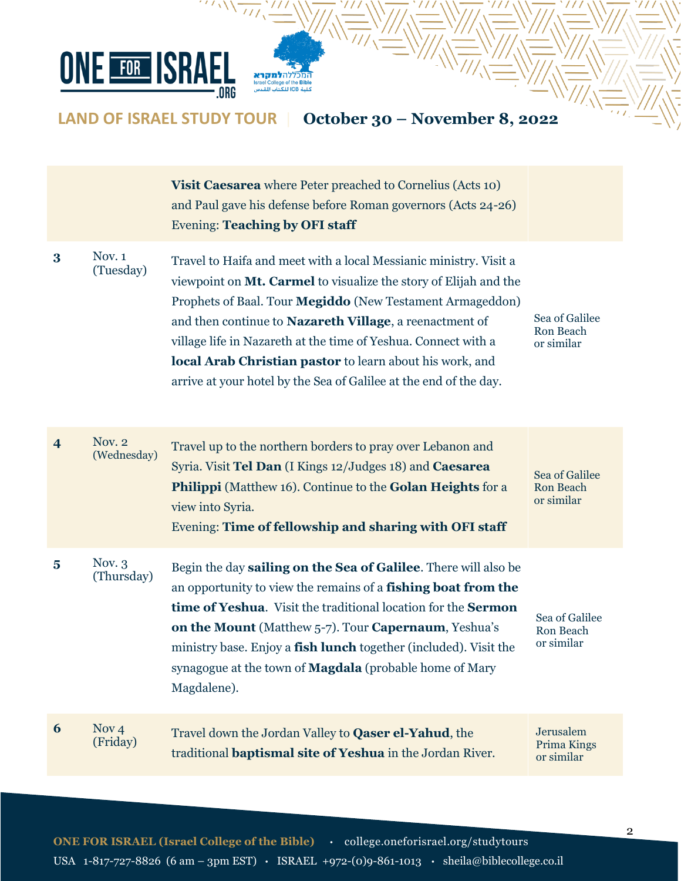

מכללה**למקרא** Israel College of the <mark>Bible</mark><br>كلية ICB للكتاب المقدس

|                         |                        | <b>Visit Caesarea</b> where Peter preached to Cornelius (Acts 10)<br>and Paul gave his defense before Roman governors (Acts 24-26)<br><b>Evening: Teaching by OFI staff</b>                                                                                                                                                                                                                                                                                                     |                                           |
|-------------------------|------------------------|---------------------------------------------------------------------------------------------------------------------------------------------------------------------------------------------------------------------------------------------------------------------------------------------------------------------------------------------------------------------------------------------------------------------------------------------------------------------------------|-------------------------------------------|
| 3                       | Nov. 1<br>(Tuesday)    | Travel to Haifa and meet with a local Messianic ministry. Visit a<br>viewpoint on Mt. Carmel to visualize the story of Elijah and the<br>Prophets of Baal. Tour Megiddo (New Testament Armageddon)<br>and then continue to <b>Nazareth Village</b> , a reenactment of<br>village life in Nazareth at the time of Yeshua. Connect with a<br><b>local Arab Christian pastor</b> to learn about his work, and<br>arrive at your hotel by the Sea of Galilee at the end of the day. | Sea of Galilee<br>Ron Beach<br>or similar |
| $\overline{\mathbf{4}}$ | Nov. 2<br>(Wednesday)  | Travel up to the northern borders to pray over Lebanon and<br>Syria. Visit Tel Dan (I Kings 12/Judges 18) and Caesarea<br>Philippi (Matthew 16). Continue to the Golan Heights for a<br>view into Syria.<br><b>Evening: Time of fellowship and sharing with OFI staff</b>                                                                                                                                                                                                       | Sea of Galilee<br>Ron Beach<br>or similar |
| $\overline{\mathbf{5}}$ | Nov. $3$<br>(Thursday) | Begin the day sailing on the Sea of Galilee. There will also be<br>an opportunity to view the remains of a fishing boat from the<br>time of Yeshua. Visit the traditional location for the Sermon<br>on the Mount (Matthew 5-7). Tour Capernaum, Yeshua's<br>ministry base. Enjoy a fish lunch together (included). Visit the<br>synagogue at the town of <b>Magdala</b> (probable home of Mary<br>Magdalene).                                                                  | Sea of Galilee<br>Ron Beach<br>or similar |
| 6                       | Nov $4$<br>(Friday)    | Travel down the Jordan Valley to <b>Qaser el-Yahud</b> , the<br>traditional <b>baptismal site of Yeshua</b> in the Jordan River.                                                                                                                                                                                                                                                                                                                                                | Jerusalem<br>Prima Kings<br>or similar    |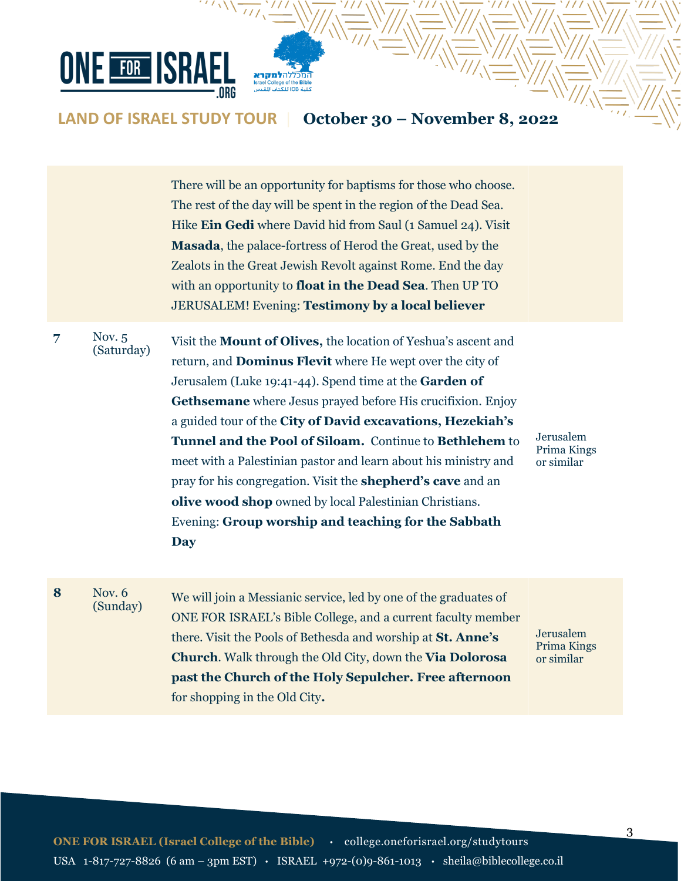

ללה**למקרא** el College of the Bible<br>كلية ICB للكتاب المقا

There will be an opportunity for baptisms for those who choose. The rest of the day will be spent in the region of the Dead Sea. Hike **Ein Gedi** where David hid from Saul (1 Samuel 24). Visit **Masada**, the palace-fortress of Herod the Great, used by the Zealots in the Great Jewish Revolt against Rome. End the day with an opportunity to **float in the Dead Sea**. Then UP TO JERUSALEM! Evening: **Testimony by a local believer** 

**7** Nov. 5 (Saturday)

Visit the **Mount of Olives,** the location of Yeshua's ascent and return, and **Dominus Flevit** where He wept over the city of Jerusalem (Luke 19:41-44). Spend time at the **Garden of Gethsemane** where Jesus prayed before His crucifixion. Enjoy a guided tour of the **City of David excavations, Hezekiah's Tunnel and the Pool of Siloam.** Continue to **Bethlehem** to meet with a Palestinian pastor and learn about his ministry and pray for his congregation. Visit the **shepherd's cave** and an **olive wood shop** owned by local Palestinian Christians. Evening: **Group worship and teaching for the Sabbath Day**

Jerusalem Prima Kings or similar

**8** Nov. 6 (Sunday)

We will join a Messianic service, led by one of the graduates of ONE FOR ISRAEL's Bible College, and a current faculty member there. Visit the Pools of Bethesda and worship at **St. Anne's Church**. Walk through the Old City, down the **Via Dolorosa past the Church of the Holy Sepulcher. Free afternoon** for shopping in the Old City**.**

Jerusalem Prima Kings or similar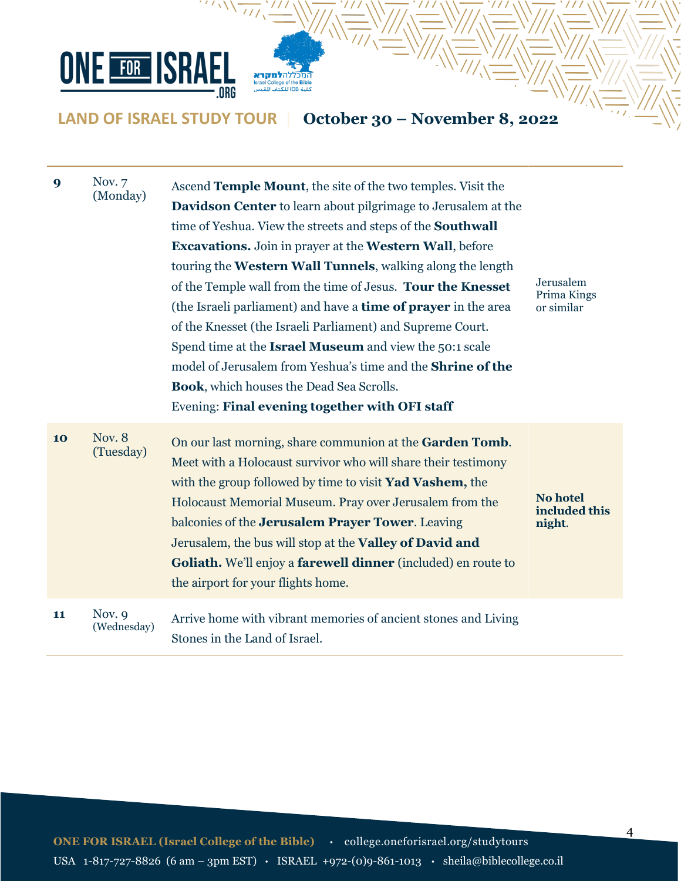

כללה לתקרא Israel College of the <mark>Bible</mark><br>كلية ICB للكتاب المقدس

| 9  | Nov. $7$<br>(Monday)    | Ascend Temple Mount, the site of the two temples. Visit the<br>Davidson Center to learn about pilgrimage to Jerusalem at the<br>time of Yeshua. View the streets and steps of the <b>Southwall</b><br>Excavations. Join in prayer at the Western Wall, before<br>touring the Western Wall Tunnels, walking along the length<br>of the Temple wall from the time of Jesus. Tour the Knesset<br>(the Israeli parliament) and have a <b>time of prayer</b> in the area<br>of the Knesset (the Israeli Parliament) and Supreme Court.<br>Spend time at the Israel Museum and view the 50:1 scale<br>model of Jerusalem from Yeshua's time and the Shrine of the<br>Book, which houses the Dead Sea Scrolls.<br>Evening: Final evening together with OFI staff | Jerusalem<br>Prima Kings<br>or similar     |
|----|-------------------------|-----------------------------------------------------------------------------------------------------------------------------------------------------------------------------------------------------------------------------------------------------------------------------------------------------------------------------------------------------------------------------------------------------------------------------------------------------------------------------------------------------------------------------------------------------------------------------------------------------------------------------------------------------------------------------------------------------------------------------------------------------------|--------------------------------------------|
| 10 | Nov. 8<br>(Tuesday)     | On our last morning, share communion at the Garden Tomb.<br>Meet with a Holocaust survivor who will share their testimony<br>with the group followed by time to visit <b>Yad Vashem</b> , the<br>Holocaust Memorial Museum. Pray over Jerusalem from the<br>balconies of the <b>Jerusalem Prayer Tower</b> . Leaving<br>Jerusalem, the bus will stop at the Valley of David and<br>Goliath. We'll enjoy a farewell dinner (included) en route to<br>the airport for your flights home.                                                                                                                                                                                                                                                                    | <b>No hotel</b><br>included this<br>night. |
| 11 | Nov. $9$<br>(Wednesday) | Arrive home with vibrant memories of ancient stones and Living<br>Stones in the Land of Israel.                                                                                                                                                                                                                                                                                                                                                                                                                                                                                                                                                                                                                                                           |                                            |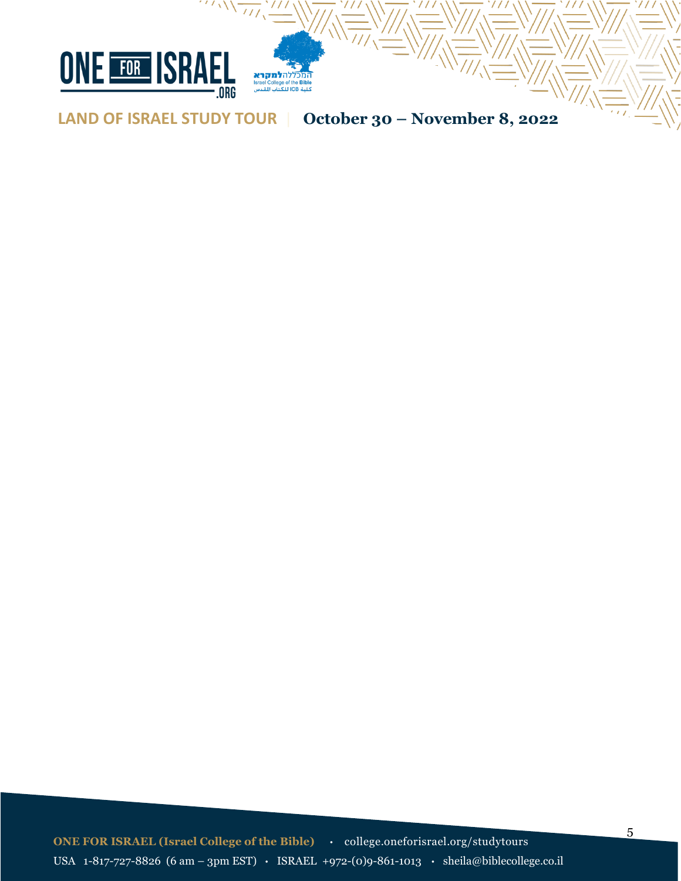

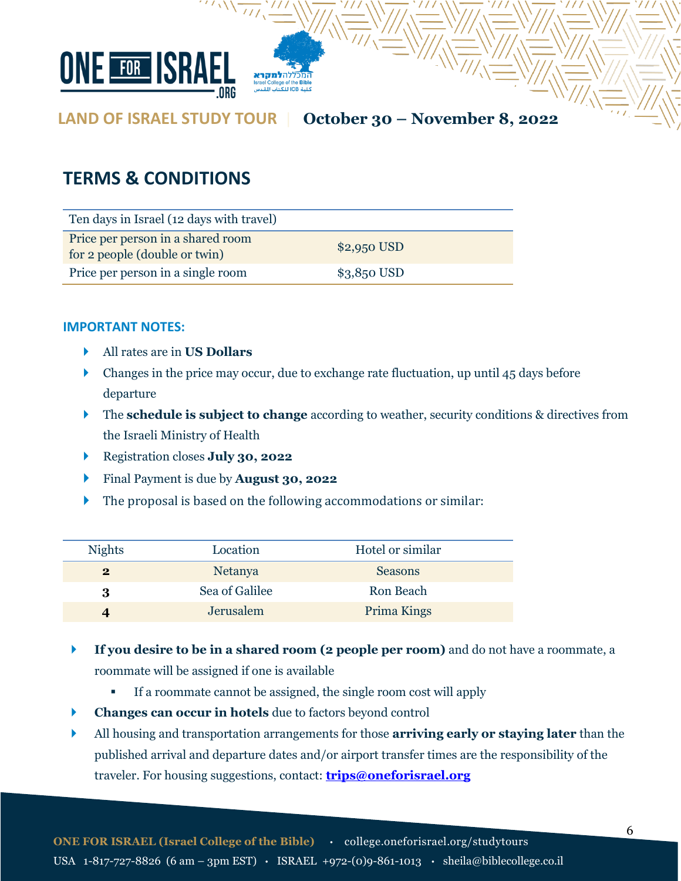

## **TERMS & CONDITIONS**

| Ten days in Israel (12 days with travel)                           |              |  |  |
|--------------------------------------------------------------------|--------------|--|--|
| Price per person in a shared room<br>for 2 people (double or twin) | $$2,950$ USD |  |  |
| Price per person in a single room                                  | $$3,850$ USD |  |  |

לה**למקרא** 

#### **IMPORTANT NOTES:**

- All rates are in **US Dollars**
- Changes in the price may occur, due to exchange rate fluctuation, up until 45 days before departure
- The **schedule is subject to change** according to weather, security conditions & directives from the Israeli Ministry of Health
- Registration closes **July 30, 2022**
- Final Payment is due by **August 30, 2022**
- The proposal is based on the following accommodations or similar:

| <b>Nights</b> | Location       | Hotel or similar |
|---------------|----------------|------------------|
| $\bf{2}$      | Netanya        | <b>Seasons</b>   |
| 3             | Sea of Galilee | Ron Beach        |
|               | Jerusalem      | Prima Kings      |

- **If you desire to be in a shared room (2 people per room)** and do not have a roommate, a roommate will be assigned if one is available
	- **•** If a roommate cannot be assigned, the single room cost will apply
- **Changes can occur in hotels** due to factors beyond control
- All housing and transportation arrangements for those **arriving early or staying later** than the published arrival and departure dates and/or airport transfer times are the responsibility of the traveler. For housing suggestions, contact: **[trips@oneforisrael.org](mailto:trips@oneforisrael.org)**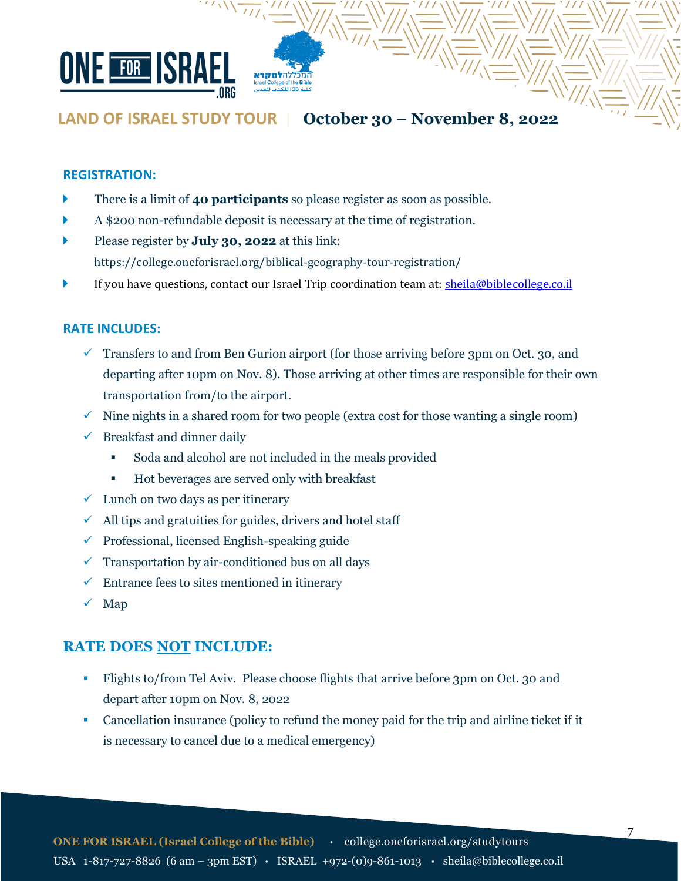

#### **REGISTRATION:**

There is a limit of **40 participants** so please register as soon as possible.

ללה**למקרא** 

- A \$200 non-refundable deposit is necessary at the time of registration.
- Please register by **July 30, 2022** at this link: https://college.oneforisrael.org/biblical-geography-tour-registration/
- If you have questions, contact our Israel Trip coordination team at:  $\frac{\text{shell}}{\text{shell}}$ @biblecollege.co.il

#### **RATE INCLUDES:**

- $\checkmark$  Transfers to and from Ben Gurion airport (for those arriving before 3pm on Oct. 30, and departing after 10pm on Nov. 8). Those arriving at other times are responsible for their own transportation from/to the airport.
- $\checkmark$  Nine nights in a shared room for two people (extra cost for those wanting a single room)
- $\checkmark$  Breakfast and dinner daily
	- Soda and alcohol are not included in the meals provided
	- Hot beverages are served only with breakfast
- $\checkmark$  Lunch on two days as per itinerary
- $\checkmark$  All tips and gratuities for guides, drivers and hotel staff
- $\checkmark$  Professional, licensed English-speaking guide
- $\checkmark$  Transportation by air-conditioned bus on all days
- $\checkmark$  Entrance fees to sites mentioned in itinerary
- $\checkmark$  Map

#### **RATE DOES NOT INCLUDE:**

- Flights to/from Tel Aviv. Please choose flights that arrive before 3pm on Oct. 30 and depart after 10pm on Nov. 8, 2022
- Cancellation insurance (policy to refund the money paid for the trip and airline ticket if it is necessary to cancel due to a medical emergency)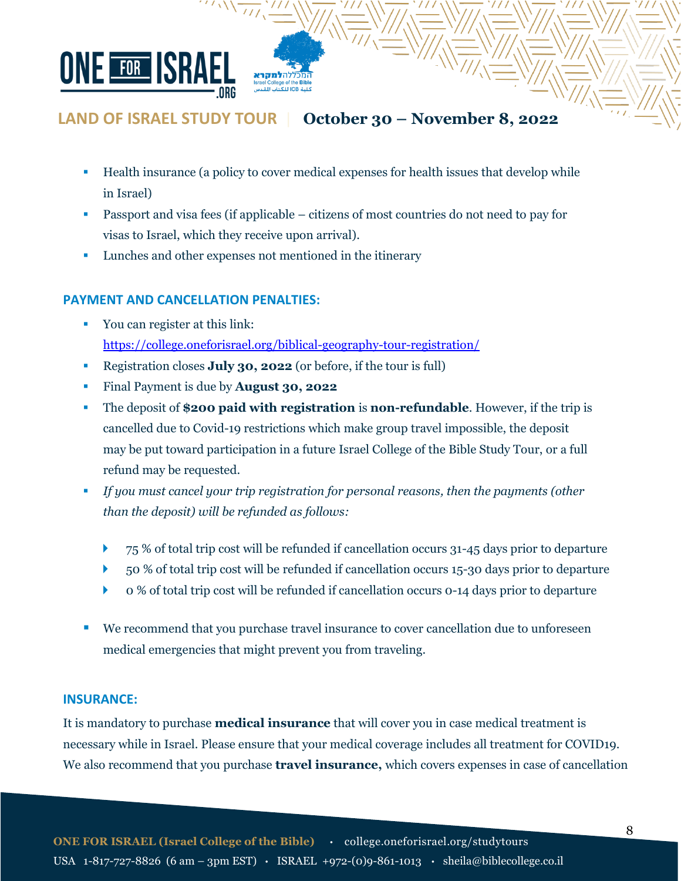

ללה**למקרא** 

- Health insurance (a policy to cover medical expenses for health issues that develop while in Israel)
- Passport and visa fees (if applicable citizens of most countries do not need to pay for visas to Israel, which they receive upon arrival).
- Lunches and other expenses not mentioned in the itinerary

#### **PAYMENT AND CANCELLATION PENALTIES:**

- You can register at this link: <https://college.oneforisrael.org/biblical-geography-tour-registration/>
- Registration closes **July 30, 2022** (or before, if the tour is full)
- Final Payment is due by **August 30, 2022**
- The deposit of **\$200 paid with registration** is **non-refundable**. However, if the trip is cancelled due to Covid-19 restrictions which make group travel impossible, the deposit may be put toward participation in a future Israel College of the Bible Study Tour, or a full refund may be requested.
- *If you must cancel your trip registration for personal reasons, then the payments (other than the deposit) will be refunded as follows:*
	- ▶ 75 % of total trip cost will be refunded if cancellation occurs 31-45 days prior to departure
	- 50 % of total trip cost will be refunded if cancellation occurs 15-30 days prior to departure
	- 0 % of total trip cost will be refunded if cancellation occurs 0-14 days prior to departure
- We recommend that you purchase travel insurance to cover cancellation due to unforeseen medical emergencies that might prevent you from traveling.

#### **INSURANCE:**

It is mandatory to purchase **medical insurance** that will cover you in case medical treatment is necessary while in Israel. Please ensure that your medical coverage includes all treatment for COVID19. We also recommend that you purchase **travel insurance,** which covers expenses in case of cancellation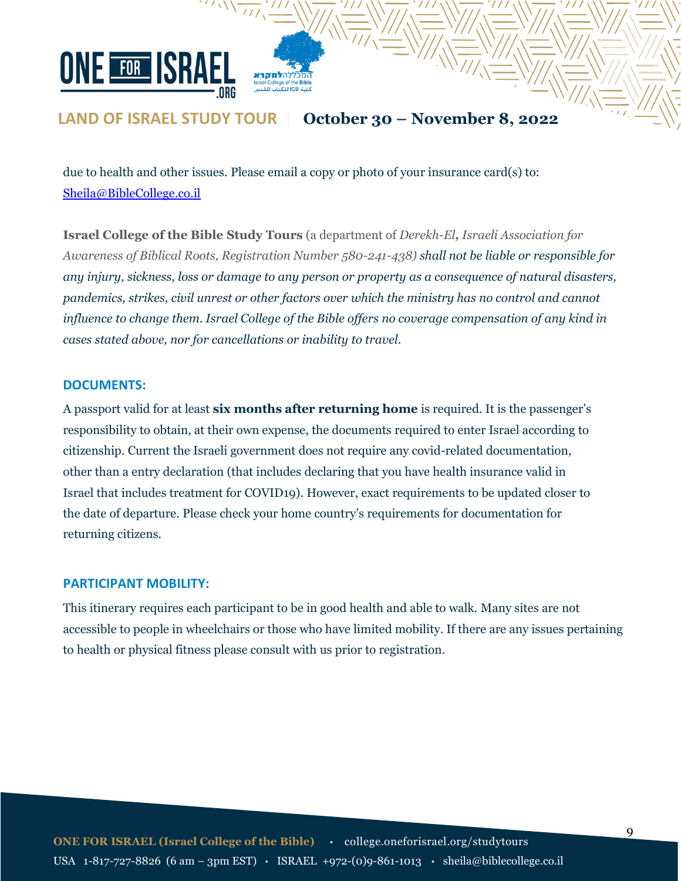

ללה**למקרא** 

due to health and other issues. Please email a copy or photo of your insurance card(s) to: [Sheila@BibleCollege.co.il](mailto:sheila@biblecollege.co.il?subject=Israel%20Study%20Tours) 

**Israel College of the Bible Study Tours** (a department of *Derekh-El, Israeli Association for Awareness of Biblical Roots, Registration Number 580-241-438) shall not be liable or responsible for any injury, sickness, loss or damage to any person or property as a consequence of natural disasters, pandemics, strikes, civil unrest or other factors over which the ministry has no control and cannot influence to change them. Israel College of the Bible offers no coverage compensation of any kind in cases stated above, nor for cancellations or inability to travel.* 

#### **DOCUMENTS:**

A passport valid for at least **six months after returning home** is required. It is the passenger's responsibility to obtain, at their own expense, the documents required to enter Israel according to citizenship. Current the Israeli government does not require any covid-related documentation, other than a entry declaration (that includes declaring that you have health insurance valid in Israel that includes treatment for COVID19). However, exact requirements to be updated closer to the date of departure. Please check your home country's requirements for documentation for returning citizens.

#### **PARTICIPANT MOBILITY:**

This itinerary requires each participant to be in good health and able to walk. Many sites are not accessible to people in wheelchairs or those who have limited mobility. If there are any issues pertaining to health or physical fitness please consult with us prior to registration.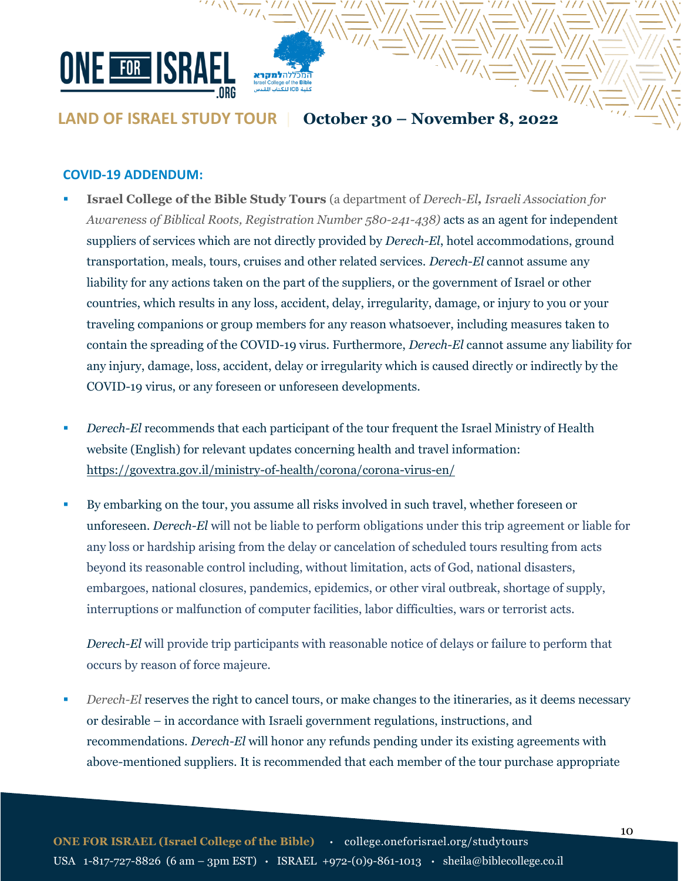

ללה**למקרא** 

#### **COVID-19 ADDENDUM:**

- **Israel College of the Bible Study Tours** (a department of *Derech-El, Israeli Association for Awareness of Biblical Roots, Registration Number 580-241-438)* acts as an agent for independent suppliers of services which are not directly provided by *Derech-El*, hotel accommodations, ground transportation, meals, tours, cruises and other related services. *Derech-El* cannot assume any liability for any actions taken on the part of the suppliers, or the government of Israel or other countries, which results in any loss, accident, delay, irregularity, damage, or injury to you or your traveling companions or group members for any reason whatsoever, including measures taken to contain the spreading of the COVID-19 virus. Furthermore, *Derech-El* cannot assume any liability for any injury, damage, loss, accident, delay or irregularity which is caused directly or indirectly by the COVID-19 virus, or any foreseen or unforeseen developments.
- *Derech-El* recommends that each participant of the tour frequent the Israel Ministry of Health website (English) for relevant updates concerning health and travel information: <https://govextra.gov.il/ministry-of-health/corona/corona-virus-en/>
- By embarking on the tour, you assume all risks involved in such travel, whether foreseen or unforeseen. *Derech-El* will not be liable to perform obligations under this trip agreement or liable for any loss or hardship arising from the delay or cancelation of scheduled tours resulting from acts beyond its reasonable control including, without limitation, acts of God, national disasters, embargoes, national closures, pandemics, epidemics, or other viral outbreak, shortage of supply, interruptions or malfunction of computer facilities, labor difficulties, wars or terrorist acts.

*Derech-El* will provide trip participants with reasonable notice of delays or failure to perform that occurs by reason of force majeure.

**•** *Derech-El* reserves the right to cancel tours, or make changes to the itineraries, as it deems necessary or desirable – in accordance with Israeli government regulations, instructions, and recommendations. *Derech-El* will honor any refunds pending under its existing agreements with above-mentioned suppliers. It is recommended that each member of the tour purchase appropriate